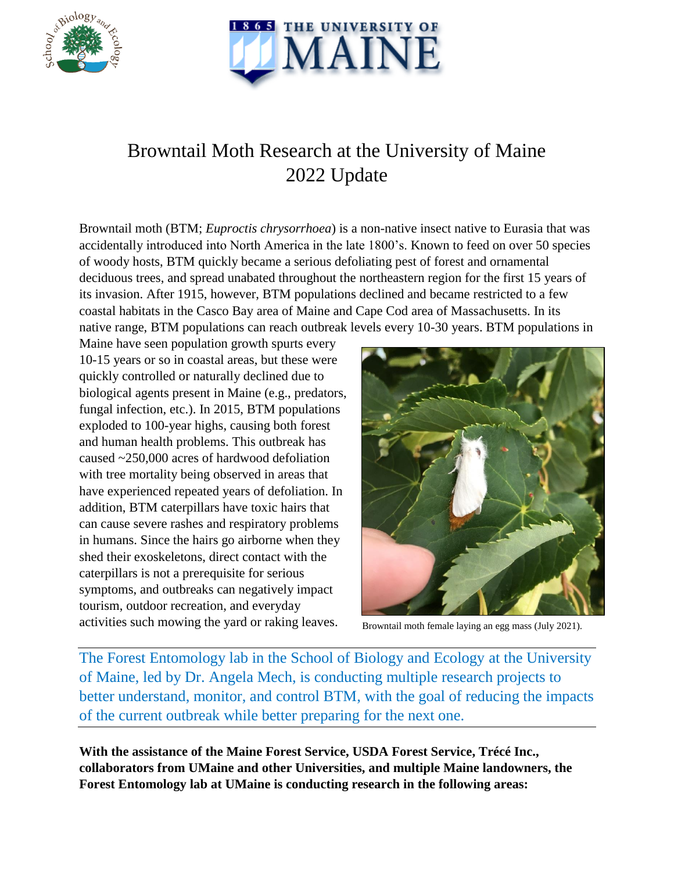



## Browntail Moth Research at the University of Maine 2022 Update

Browntail moth (BTM; *Euproctis chrysorrhoea*) is a non-native insect native to Eurasia that was accidentally introduced into North America in the late 1800's. Known to feed on over 50 species of woody hosts, BTM quickly became a serious defoliating pest of forest and ornamental deciduous trees, and spread unabated throughout the northeastern region for the first 15 years of its invasion. After 1915, however, BTM populations declined and became restricted to a few coastal habitats in the Casco Bay area of Maine and Cape Cod area of Massachusetts. In its native range, BTM populations can reach outbreak levels every 10-30 years. BTM populations in

Maine have seen population growth spurts every 10-15 years or so in coastal areas, but these were quickly controlled or naturally declined due to biological agents present in Maine (e.g., predators, fungal infection, etc.). In 2015, BTM populations exploded to 100-year highs, causing both forest and human health problems. This outbreak has caused ~250,000 acres of hardwood defoliation with tree mortality being observed in areas that have experienced repeated years of defoliation. In addition, BTM caterpillars have toxic hairs that can cause severe rashes and respiratory problems in humans. Since the hairs go airborne when they shed their exoskeletons, direct contact with the caterpillars is not a prerequisite for serious symptoms, and outbreaks can negatively impact tourism, outdoor recreation, and everyday activities such mowing the yard or raking leaves.



Browntail moth female laying an egg mass (July 2021).

The Forest Entomology lab in the School of Biology and Ecology at the University of Maine, led by Dr. Angela Mech, is conducting multiple research projects to better understand, monitor, and control BTM, with the goal of reducing the impacts of the current outbreak while better preparing for the next one.

**With the assistance of the Maine Forest Service, USDA Forest Service, Trécé Inc., collaborators from UMaine and other Universities, and multiple Maine landowners, the Forest Entomology lab at UMaine is conducting research in the following areas:**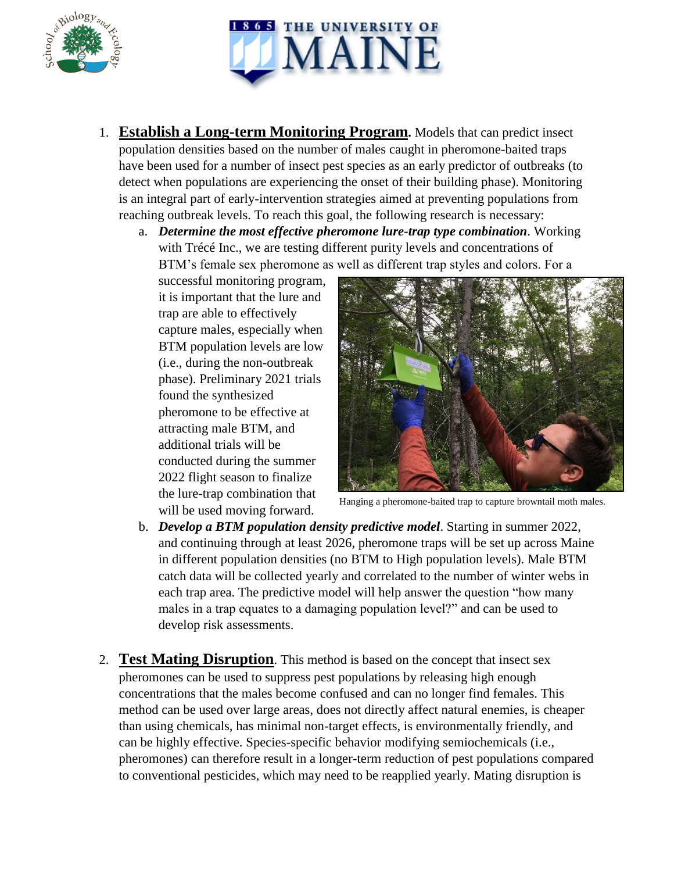



- 1. **Establish a Long-term Monitoring Program.** Models that can predict insect population densities based on the number of males caught in pheromone-baited traps have been used for a number of insect pest species as an early predictor of outbreaks (to detect when populations are experiencing the onset of their building phase). Monitoring is an integral part of early-intervention strategies aimed at preventing populations from reaching outbreak levels. To reach this goal, the following research is necessary:
	- a. *Determine the most effective pheromone lure-trap type combination*. Working with Trécé Inc., we are testing different purity levels and concentrations of BTM's female sex pheromone as well as different trap styles and colors. For a

successful monitoring program, it is important that the lure and trap are able to effectively capture males, especially when BTM population levels are low (i.e., during the non-outbreak phase). Preliminary 2021 trials found the synthesized pheromone to be effective at attracting male BTM, and additional trials will be conducted during the summer 2022 flight season to finalize the lure-trap combination that will be used moving forward.



Hanging a pheromone-baited trap to capture browntail moth males.

- b. *Develop a BTM population density predictive model*. Starting in summer 2022, and continuing through at least 2026, pheromone traps will be set up across Maine in different population densities (no BTM to High population levels). Male BTM catch data will be collected yearly and correlated to the number of winter webs in each trap area. The predictive model will help answer the question "how many males in a trap equates to a damaging population level?" and can be used to develop risk assessments.
- 2. **Test Mating Disruption**. This method is based on the concept that insect sex pheromones can be used to suppress pest populations by releasing high enough concentrations that the males become confused and can no longer find females. This method can be used over large areas, does not directly affect natural enemies, is cheaper than using chemicals, has minimal non-target effects, is environmentally friendly, and can be highly effective. Species-specific behavior modifying semiochemicals (i.e., pheromones) can therefore result in a longer-term reduction of pest populations compared to conventional pesticides, which may need to be reapplied yearly. Mating disruption is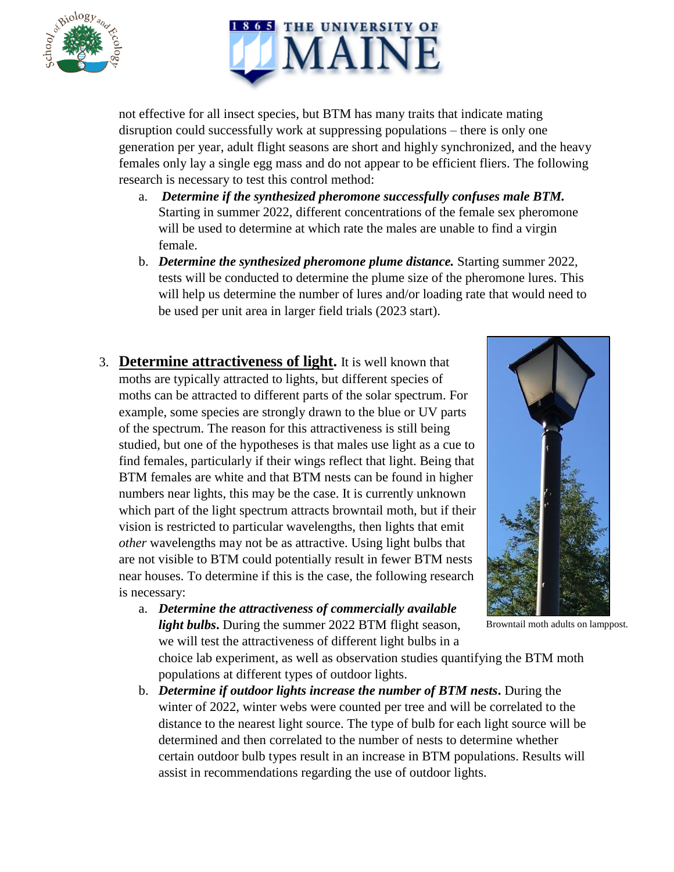



not effective for all insect species, but BTM has many traits that indicate mating disruption could successfully work at suppressing populations – there is only one generation per year, adult flight seasons are short and highly synchronized, and the heavy females only lay a single egg mass and do not appear to be efficient fliers. The following research is necessary to test this control method:

- a. *Determine if the synthesized pheromone successfully confuses male BTM.* Starting in summer 2022, different concentrations of the female sex pheromone will be used to determine at which rate the males are unable to find a virgin female.
- b. *Determine the synthesized pheromone plume distance.* Starting summer 2022, tests will be conducted to determine the plume size of the pheromone lures. This will help us determine the number of lures and/or loading rate that would need to be used per unit area in larger field trials (2023 start).
- 3. **Determine attractiveness of light.** It is well known that moths are typically attracted to lights, but different species of moths can be attracted to different parts of the solar spectrum. For example, some species are strongly drawn to the blue or UV parts of the spectrum. The reason for this attractiveness is still being studied, but one of the hypotheses is that males use light as a cue to find females, particularly if their wings reflect that light. Being that BTM females are white and that BTM nests can be found in higher numbers near lights, this may be the case. It is currently unknown which part of the light spectrum attracts browntail moth, but if their vision is restricted to particular wavelengths, then lights that emit *other* wavelengths may not be as attractive. Using light bulbs that are not visible to BTM could potentially result in fewer BTM nests near houses. To determine if this is the case, the following research is necessary:



Browntail moth adults on lamppost.

a. *Determine the attractiveness of commercially available light bulbs***.** During the summer 2022 BTM flight season, we will test the attractiveness of different light bulbs in a

choice lab experiment, as well as observation studies quantifying the BTM moth populations at different types of outdoor lights.

b. *Determine if outdoor lights increase the number of BTM nests***.** During the winter of 2022, winter webs were counted per tree and will be correlated to the distance to the nearest light source. The type of bulb for each light source will be determined and then correlated to the number of nests to determine whether certain outdoor bulb types result in an increase in BTM populations. Results will assist in recommendations regarding the use of outdoor lights.